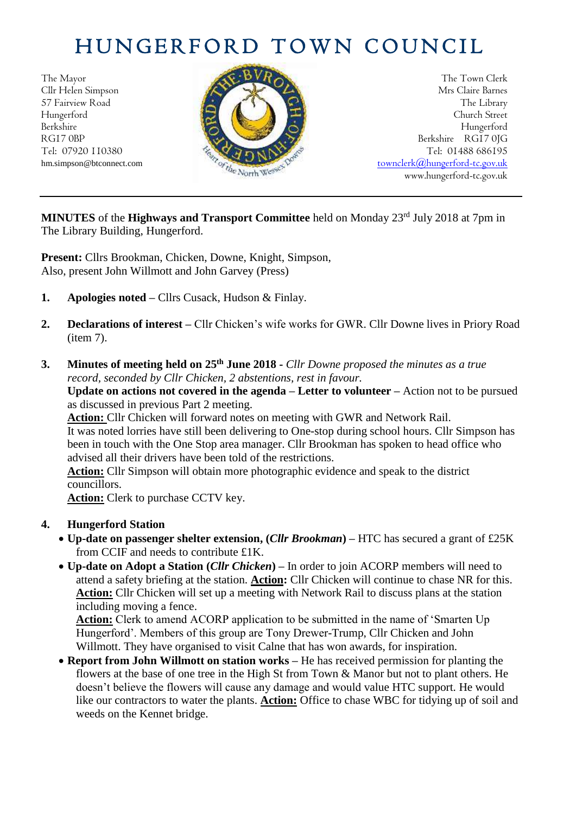## HUNGERFORD TOWN COUNCIL



The Mayor The Town Clerk Cllr Helen Simpson Mrs Claire Barnes 57 Fairview Road The Library (2004) The Library Hungerford Church Street Berkshire Hungerford RG17 0BP Berkshire RG17 0JG Tel: 07920 110380 **Tel: 07920 110380** Tel: 07920 110380 hm.simpson@btconnect.com [townclerk@hungerford-tc.gov.uk](mailto:townclerk@hungerford-tc.gov.uk) www.hungerford-tc.gov.uk www.hungerford-tc.gov.uk www.hungerford-tc.gov.uk

MINUTES of the Highways and Transport Committee held on Monday 23<sup>rd</sup> July 2018 at 7pm in The Library Building, Hungerford.

**Present:** Cllrs Brookman, Chicken, Downe, Knight, Simpson, Also, present John Willmott and John Garvey (Press)

- **1. Apologies noted –** Cllrs Cusack, Hudson & Finlay.
- **2. Declarations of interest –** Cllr Chicken's wife works for GWR. Cllr Downe lives in Priory Road (item 7).
- **3. Minutes of meeting held on 25 th June 2018 -** *Cllr Downe proposed the minutes as a true record, seconded by Cllr Chicken, 2 abstentions, rest in favour.*

**Update on actions not covered in the agenda – Letter to volunteer –** Action not to be pursued as discussed in previous Part 2 meeting.

**Action:** Cllr Chicken will forward notes on meeting with GWR and Network Rail. It was noted lorries have still been delivering to One-stop during school hours. Cllr Simpson has been in touch with the One Stop area manager. Cllr Brookman has spoken to head office who advised all their drivers have been told of the restrictions.

**Action:** Cllr Simpson will obtain more photographic evidence and speak to the district councillors.

**Action:** Clerk to purchase CCTV key.

## **4. Hungerford Station**

- **Up-date on passenger shelter extension, (***Cllr Brookman***) –** HTC has secured a grant of £25K from CCIF and needs to contribute £1K.
- **Up-date on Adopt a Station (***Cllr Chicken***) –** In order to join ACORP members will need to attend a safety briefing at the station. **Action:** Cllr Chicken will continue to chase NR for this. **Action:** Cllr Chicken will set up a meeting with Network Rail to discuss plans at the station including moving a fence.

**Action:** Clerk to amend ACORP application to be submitted in the name of 'Smarten Up Hungerford'. Members of this group are Tony Drewer-Trump, Cllr Chicken and John Willmott. They have organised to visit Calne that has won awards, for inspiration.

• **Report from John Willmott on station works –** He has received permission for planting the flowers at the base of one tree in the High St from Town & Manor but not to plant others. He doesn't believe the flowers will cause any damage and would value HTC support. He would like our contractors to water the plants. **Action:** Office to chase WBC for tidying up of soil and weeds on the Kennet bridge.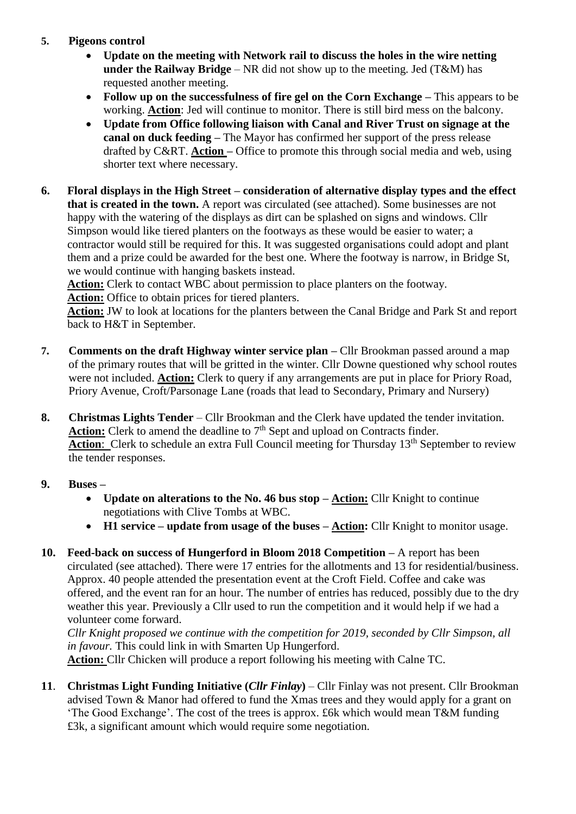## **5. Pigeons control**

- **Update on the meeting with Network rail to discuss the holes in the wire netting under the Railway Bridge** – NR did not show up to the meeting. Jed (T&M) has requested another meeting.
- **Follow up on the successfulness of fire gel on the Corn Exchange This appears to be** working. **Action**: Jed will continue to monitor. There is still bird mess on the balcony.
- **Update from Office following liaison with Canal and River Trust on signage at the canal on duck feeding –** The Mayor has confirmed her support of the press release drafted by C&RT. **Action –** Office to promote this through social media and web, using shorter text where necessary.
- **6. Floral displays in the High Street – consideration of alternative display types and the effect that is created in the town.** A report was circulated (see attached). Some businesses are not happy with the watering of the displays as dirt can be splashed on signs and windows. Cllr Simpson would like tiered planters on the footways as these would be easier to water; a contractor would still be required for this. It was suggested organisations could adopt and plant them and a prize could be awarded for the best one. Where the footway is narrow, in Bridge St, we would continue with hanging baskets instead.

**Action:** Clerk to contact WBC about permission to place planters on the footway.

**Action:** Office to obtain prices for tiered planters.

**Action:** JW to look at locations for the planters between the Canal Bridge and Park St and report back to H&T in September.

- **7. Comments on the draft Highway winter service plan –** Cllr Brookman passed around a map of the primary routes that will be gritted in the winter. Cllr Downe questioned why school routes were not included. **Action:** Clerk to query if any arrangements are put in place for Priory Road, Priory Avenue, Croft/Parsonage Lane (roads that lead to Secondary, Primary and Nursery)
- **8. Christmas Lights Tender** Cllr Brookman and the Clerk have updated the tender invitation. Action: Clerk to amend the deadline to 7<sup>th</sup> Sept and upload on Contracts finder. Action: Clerk to schedule an extra Full Council meeting for Thursday 13<sup>th</sup> September to review the tender responses.
- **9. Buses –**
	- **Update on alterations to the No. 46 bus stop – Action:** Cllr Knight to continue negotiations with Clive Tombs at WBC.
	- **H1 service update from usage of the buses Action:** Cllr Knight to monitor usage.
- **10. Feed-back on success of Hungerford in Bloom 2018 Competition –** A report has been circulated (see attached). There were 17 entries for the allotments and 13 for residential/business. Approx. 40 people attended the presentation event at the Croft Field. Coffee and cake was offered, and the event ran for an hour. The number of entries has reduced, possibly due to the dry weather this year. Previously a Cllr used to run the competition and it would help if we had a volunteer come forward.

*Cllr Knight proposed we continue with the competition for 2019, seconded by Cllr Simpson, all in favour.* This could link in with Smarten Up Hungerford.

**Action:** Cllr Chicken will produce a report following his meeting with Calne TC.

**11**. **Christmas Light Funding Initiative (***Cllr Finlay***)** – Cllr Finlay was not present. Cllr Brookman advised Town & Manor had offered to fund the Xmas trees and they would apply for a grant on 'The Good Exchange'. The cost of the trees is approx. £6k which would mean T&M funding £3k, a significant amount which would require some negotiation.